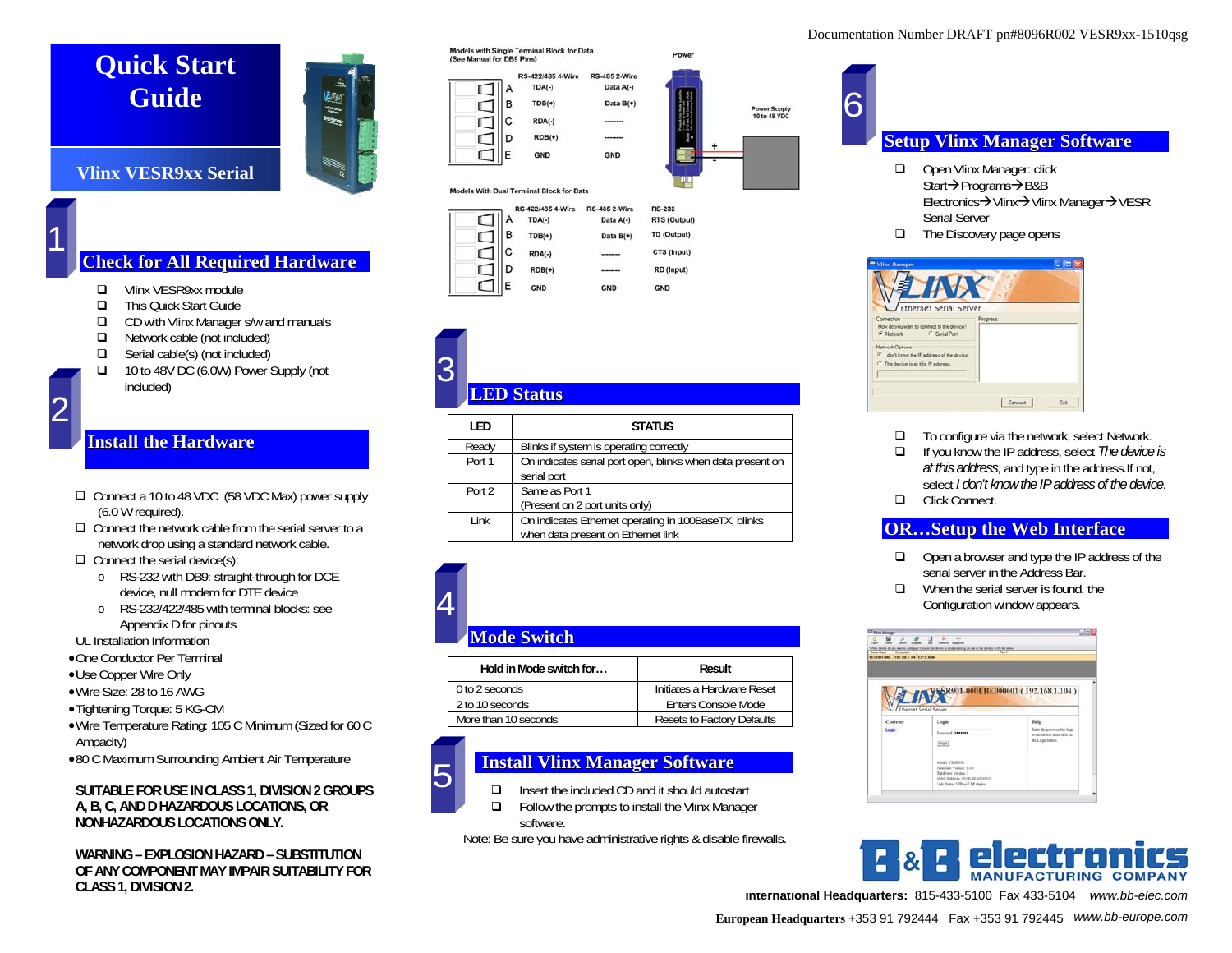## **Quick Start Guide**

# 盅 E

#### **Vlinx VESR9xx Serial**

1

#### **Che c k fo r All Re q uir e dHa r dwa r e**

- $\Box$ Vlinx VESR9xx module
- $\Box$ This Quick Start Guide
- $\Box$ CD with Vlinx Manager s/w and manuals
- $\Box$ Network cable (not included)
- $\Box$ Serial cable(s) (not included)
- 10 to 48V DC (6.0W) Power Supply (not included)

#### **Install theHardwa re**

- □ Connect a 10 to 48 VDC (58 VDC Max) power supply (6.0 W required).
- $\Box$  Connect the network cable from the serial server to a network drop using a standard network cable.

 $\Box$  Connect the serial device(s):

- o RS-232 with DB9: straight-through for DCE device, null modem for DTE device
- o RS-232/422/485 with terminal blocks: see Appendix D for pinouts

UL Installation Information

- •One Conductor Per Terminal
- •Use Copper Wire Only
- •Wire Size: 28 to 16 AWG
- •Tightening Torque: 5 KG-CM
- •Wire Temperature Rating: 105 C Minimum (Sized for 60 C Ampacity)
- •80 C Maximum Surrounding Ambient Air Temperature

#### **SUITABLE FOR USE IN CLASS 1, DIVISION 2 GROUPS A, B, C, AND D HAZARDOUS LOCATIONS, OR NONHAZARDOUS LOCATIONS ONLY.**

**WARNING – EXPLOSION HAZARD – SUBSTITUTION OF ANY COMPONENT MAY IMPAIR SUITABILITY FOR CLASS 1, DIVISION 2.** 

Models with Single Terminal Block for Data<br>(See Manual for DB9 Pins)

|    | RS-422/485 4-Wire | <b>RS-485 2-Wire</b> |
|----|-------------------|----------------------|
|    | $TDA(-)$          | Data A(-)            |
| в  | $TDB(+)$          | Data B(+)            |
| c  | RDA(-)            | --------             |
| D  | $RDB(+)$          |                      |
| F. | <b>GND</b>        | <b>GND</b>           |

#### Models With Dual Terminal Block for Data

|  |   | RS-422/485 4-Wire | <b>RS-485 2-Wire</b> | <b>RS-232</b> |
|--|---|-------------------|----------------------|---------------|
|  |   | $TDA(-)$          | Data A(-)            | RTS (Output)  |
|  | в | $TDB(+)$          | Data B(+)            | TD (Output)   |
|  | С | $RDA(-)$          | ------               | CTS (Input)   |
|  | D | $RDB(+)$          |                      | RD (Input)    |
|  |   | <b>GND</b>        | <b>GND</b>           | <b>GND</b>    |

### **LEDStatus** 3

| LED    | <b>STATUS</b>                                              |  |
|--------|------------------------------------------------------------|--|
| Ready  | Blinks if system is operating correctly                    |  |
| Port 1 | On indicates serial port open, blinks when data present on |  |
|        | serial port                                                |  |
| Port 2 | Same as Port 1                                             |  |
|        | (Present on 2 port units only)                             |  |
| I ink  | On indicates Ethernet operating in 100BaseTX, blinks       |  |
|        | when data present on Ethernet link                         |  |

#### **ModeSwitc h**

| Hold in Mode switch for | Result                     |
|-------------------------|----------------------------|
| 0 to 2 seconds          | Initiates a Hardware Reset |
| 2 to 10 seconds         | Enters Console Mode        |
| More than 10 seconds    | Resets to Factory Defaults |
|                         |                            |

#### **Install Vlinx Ma na g e r Softwa r e**



4

 $\Box$  Insert the included CD and it should autostart  $\Box$ Follow the prompts to install the Vlinx Manager



Note: Be sure you have administrative rights & disable firewalls.

# 6

Power Supply<br>10 to 48 VDC

#### **Setup Vlinx Ma na g e r Softwa r e**

- $\Box$  Open Vlinx Manager: click Start→Programs→B&B Electronics→Vlinx→Vlinx Manager→VESR Serial Server
- **□** The Discovery page opens

| <b>Vlinx Manager</b><br><b>AV</b><br>Ethernet Serial Server                                                                                                                                     |                 |
|-------------------------------------------------------------------------------------------------------------------------------------------------------------------------------------------------|-----------------|
| Connection<br>How do you want to connect to the device?<br>F Network C Serial Port<br>Network Options<br>(Fill don't know the IP address of the device.<br>C. The device is at this IP address. | Progress:       |
|                                                                                                                                                                                                 | Connect<br>Exit |

- $\Box$ To configure via the network, select Network.
- $\Box$  If you know the IP address, select *The device is at this address*, and type in the address.If not, select *I don't know the IP address of the device*.
- □ Click Connect.

#### **OR…S etu p th e We b Inte rfa c e**

- $\Box$  Open a browser and type the IP address of the serial server in the Address Bar.
- $\Box$  When the serial server is found, the Configuration window appears.





**International Headquarters:** 815-433-5100 Fax 433-5104 *www.bb-elec.com* 

#### Documentation Number DRAFT pn#8096R002 VESR9xx-1510qsg